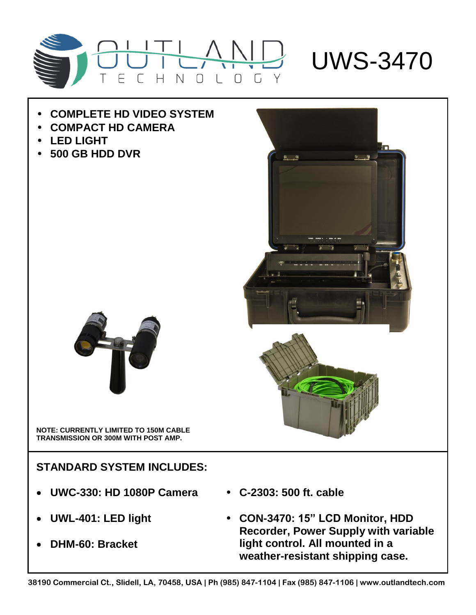

## • **COMPLETE HD VIDEO SYSTEM**

- **COMPACT HD CAMERA**
- **LED LIGHT**
- **500 GB HDD DVR**



**NOTE: CURRENTLY LIMITED TO 150M CABLE TRANSMISSION OR 300M WITH POST AMP.**

**STANDARD SYSTEM INCLUDES:**

- **UWC-330: HD 1080P Camera**
- **UWL-401: LED light**
- **DHM-60: Bracket**
- **C-2303: 500 ft. cable**
- **CON-3470: 15" LCD Monitor, HDD Recorder, Power Supply with variable light control. All mounted in a weather-resistant shipping case.**